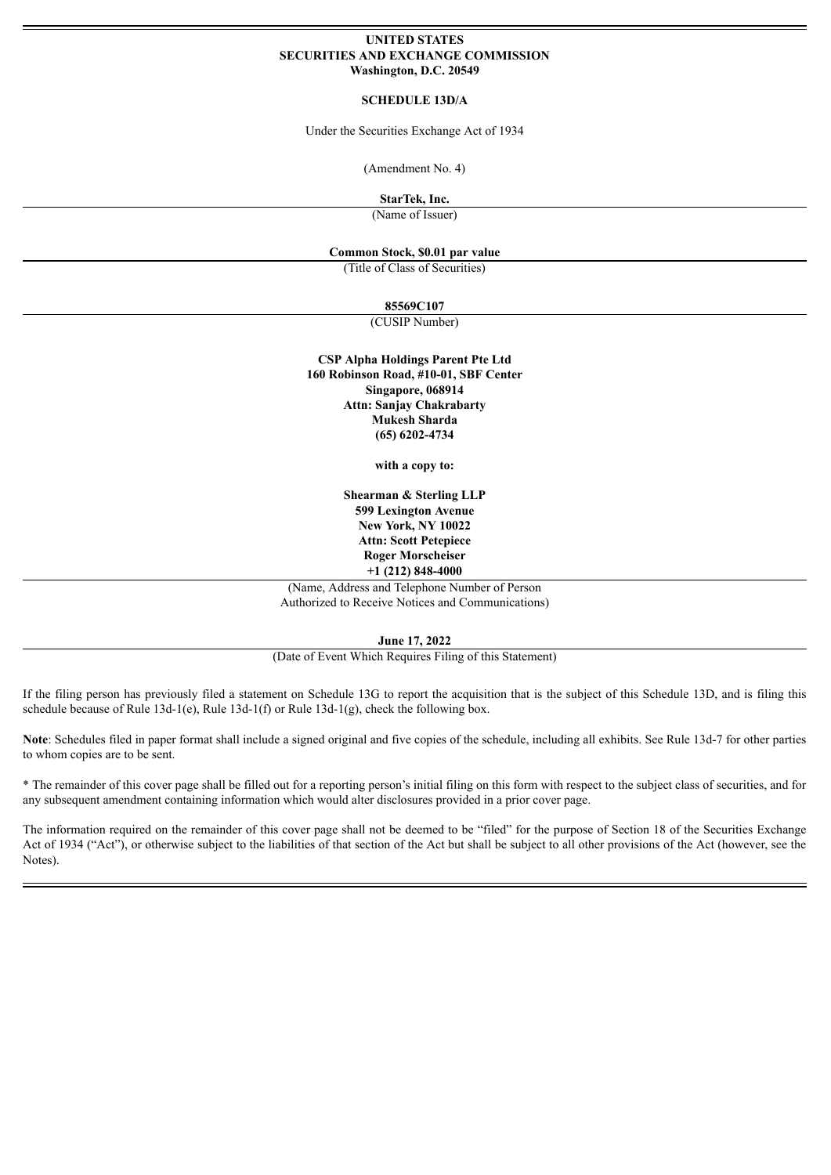### **UNITED STATES SECURITIES AND EXCHANGE COMMISSION Washington, D.C. 20549**

#### **SCHEDULE 13D/A**

Under the Securities Exchange Act of 1934

(Amendment No. 4)

**StarTek, Inc.**

(Name of Issuer)

## **Common Stock, \$0.01 par value**

(Title of Class of Securities)

#### **85569C107**

(CUSIP Number)

**CSP Alpha Holdings Parent Pte Ltd 160 Robinson Road, #10-01, SBF Center Singapore, 068914 Attn: Sanjay Chakrabarty Mukesh Sharda (65) 6202-4734**

**with a copy to:**

**Shearman & Sterling LLP 599 Lexington Avenue New York, NY 10022 Attn: Scott Petepiece Roger Morscheiser +1 (212) 848-4000**

(Name, Address and Telephone Number of Person Authorized to Receive Notices and Communications)

**June 17, 2022**

(Date of Event Which Requires Filing of this Statement)

If the filing person has previously filed a statement on Schedule 13G to report the acquisition that is the subject of this Schedule 13D, and is filing this schedule because of Rule 13d-1(e), Rule 13d-1(f) or Rule 13d-1(g), check the following box.

Note: Schedules filed in paper format shall include a signed original and five copies of the schedule, including all exhibits. See Rule 13d-7 for other parties to whom copies are to be sent.

\* The remainder of this cover page shall be filled out for a reporting person's initial filing on this form with respect to the subject class of securities, and for any subsequent amendment containing information which would alter disclosures provided in a prior cover page.

The information required on the remainder of this cover page shall not be deemed to be "filed" for the purpose of Section 18 of the Securities Exchange Act of 1934 ("Act"), or otherwise subject to the liabilities of that section of the Act but shall be subject to all other provisions of the Act (however, see the Notes).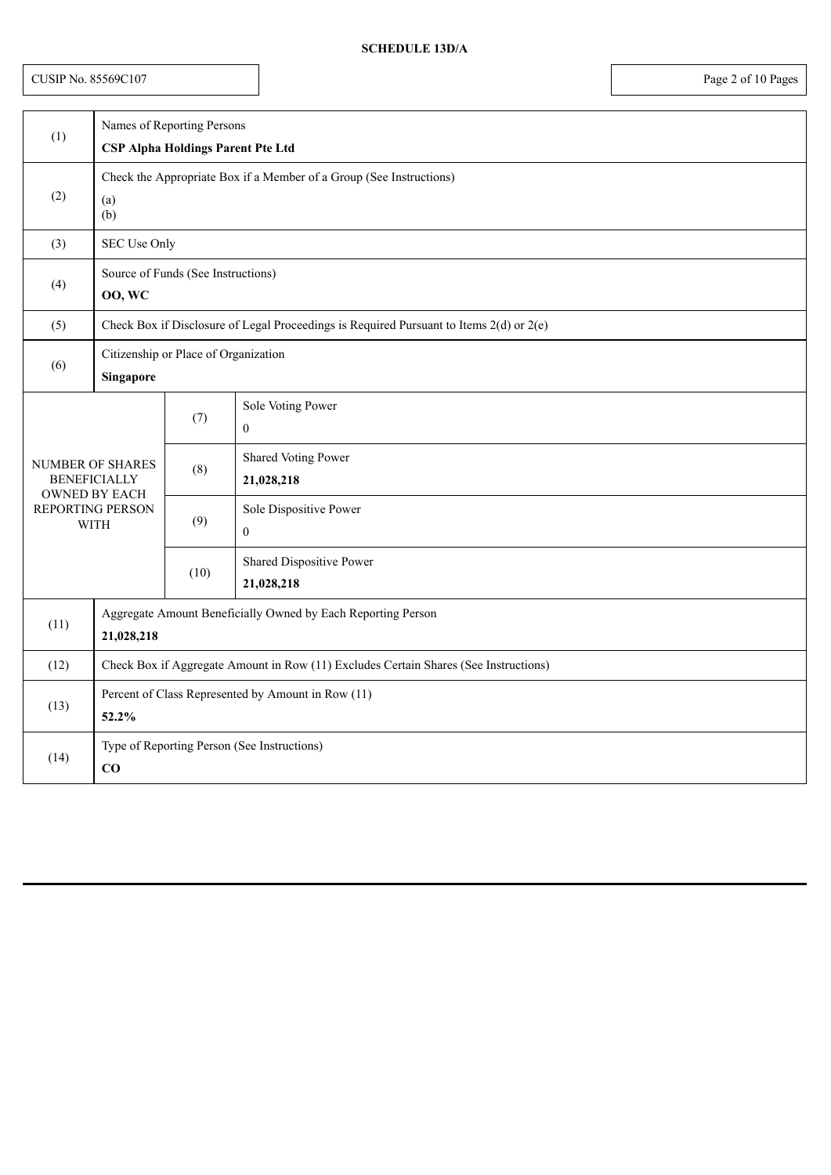CUSIP No. 85569C107 Page 2 of 10 Pages

| (1)  | Names of Reporting Persons                                                              |      |                                          |  |
|------|-----------------------------------------------------------------------------------------|------|------------------------------------------|--|
|      | <b>CSP Alpha Holdings Parent Pte Ltd</b>                                                |      |                                          |  |
| (2)  | Check the Appropriate Box if a Member of a Group (See Instructions)<br>(a)<br>(b)       |      |                                          |  |
| (3)  | SEC Use Only                                                                            |      |                                          |  |
| (4)  | Source of Funds (See Instructions)<br><b>00, WC</b>                                     |      |                                          |  |
| (5)  | Check Box if Disclosure of Legal Proceedings is Required Pursuant to Items 2(d) or 2(e) |      |                                          |  |
| (6)  | Citizenship or Place of Organization<br>Singapore                                       |      |                                          |  |
|      |                                                                                         | (7)  | Sole Voting Power<br>$\mathbf{0}$        |  |
|      | <b>NUMBER OF SHARES</b><br><b>BENEFICIALLY</b>                                          | (8)  | <b>Shared Voting Power</b><br>21,028,218 |  |
|      | <b>OWNED BY EACH</b><br>REPORTING PERSON<br><b>WITH</b>                                 |      | Sole Dispositive Power<br>$\mathbf{0}$   |  |
|      |                                                                                         | (10) | Shared Dispositive Power<br>21,028,218   |  |
| (11) | Aggregate Amount Beneficially Owned by Each Reporting Person<br>21,028,218              |      |                                          |  |
| (12) | Check Box if Aggregate Amount in Row (11) Excludes Certain Shares (See Instructions)    |      |                                          |  |
| (13) | Percent of Class Represented by Amount in Row (11)<br>52.2%                             |      |                                          |  |
| (14) | Type of Reporting Person (See Instructions)<br>CO                                       |      |                                          |  |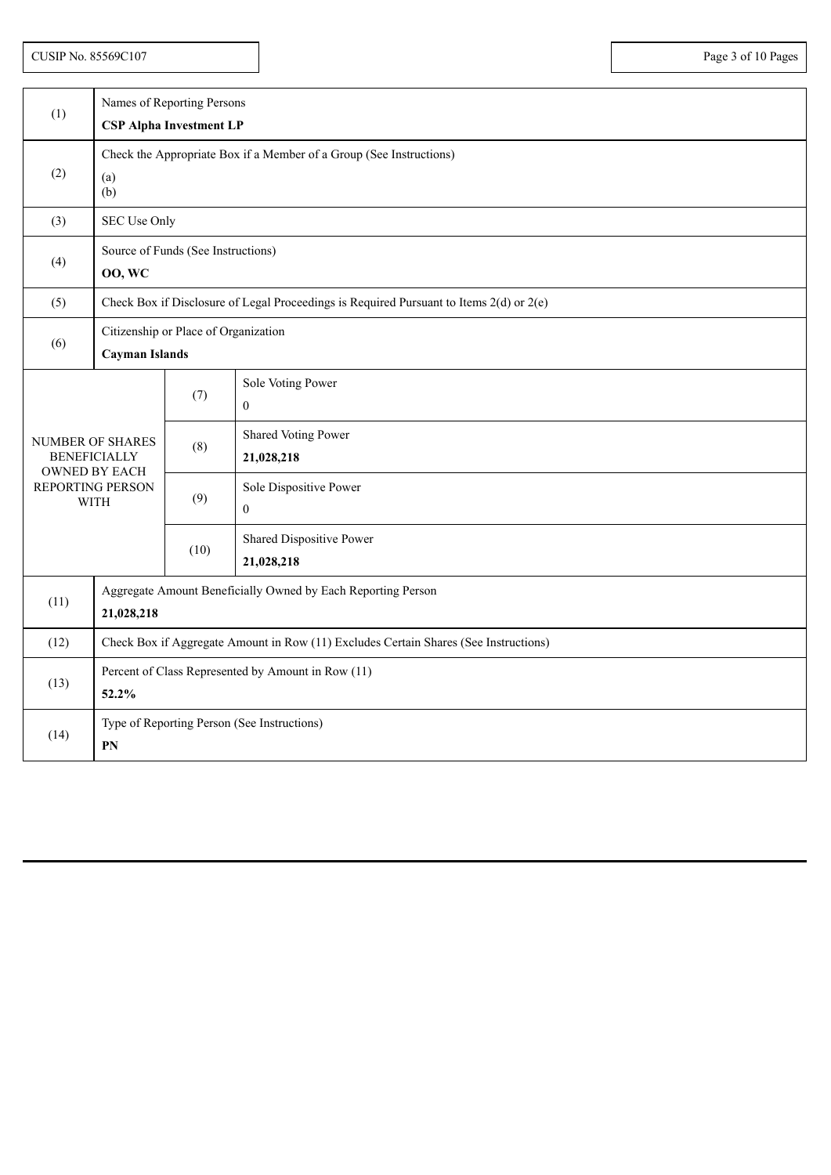CUSIP No. 85569C107 Page 3 of 10 Pages

| (1)                                                                                                | Names of Reporting Persons                                                              |      |                                            |  |
|----------------------------------------------------------------------------------------------------|-----------------------------------------------------------------------------------------|------|--------------------------------------------|--|
|                                                                                                    | <b>CSP Alpha Investment LP</b>                                                          |      |                                            |  |
| (2)                                                                                                | Check the Appropriate Box if a Member of a Group (See Instructions)<br>(a)<br>(b)       |      |                                            |  |
| (3)                                                                                                | <b>SEC Use Only</b>                                                                     |      |                                            |  |
| (4)                                                                                                | Source of Funds (See Instructions)<br><b>00, WC</b>                                     |      |                                            |  |
| (5)                                                                                                | Check Box if Disclosure of Legal Proceedings is Required Pursuant to Items 2(d) or 2(e) |      |                                            |  |
| (6)                                                                                                | Citizenship or Place of Organization<br><b>Cayman Islands</b>                           |      |                                            |  |
| NUMBER OF SHARES<br><b>BENEFICIALLY</b><br><b>OWNED BY EACH</b><br>REPORTING PERSON<br><b>WITH</b> |                                                                                         | (7)  | Sole Voting Power<br>$\mathbf{0}$          |  |
|                                                                                                    |                                                                                         | (8)  | Shared Voting Power<br>21,028,218          |  |
|                                                                                                    |                                                                                         | (9)  | Sole Dispositive Power<br>$\boldsymbol{0}$ |  |
|                                                                                                    |                                                                                         | (10) | Shared Dispositive Power<br>21,028,218     |  |
| (11)                                                                                               | Aggregate Amount Beneficially Owned by Each Reporting Person<br>21,028,218              |      |                                            |  |
| (12)                                                                                               | Check Box if Aggregate Amount in Row (11) Excludes Certain Shares (See Instructions)    |      |                                            |  |
| (13)                                                                                               | Percent of Class Represented by Amount in Row (11)<br>52.2%                             |      |                                            |  |
| (14)                                                                                               | Type of Reporting Person (See Instructions)<br>PN                                       |      |                                            |  |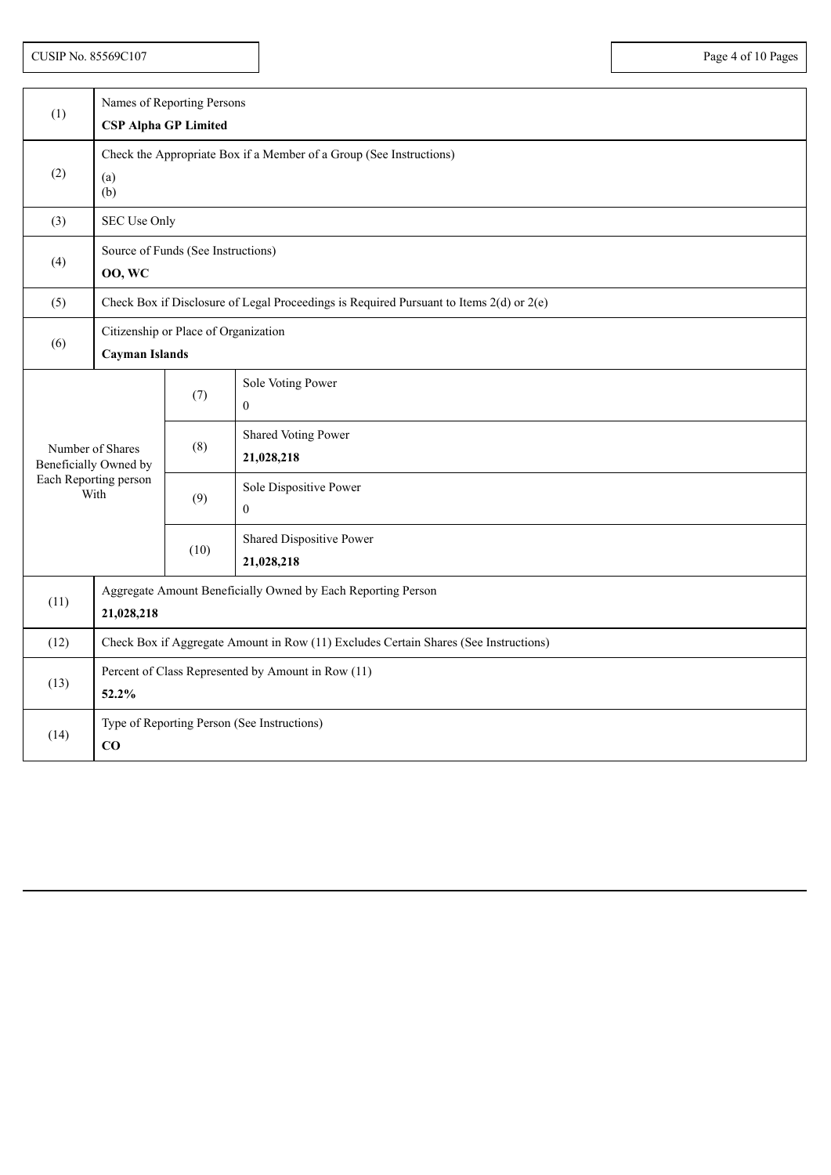| (1)  | Names of Reporting Persons<br><b>CSP Alpha GP Limited</b>                               |      |                                        |  |
|------|-----------------------------------------------------------------------------------------|------|----------------------------------------|--|
| (2)  | Check the Appropriate Box if a Member of a Group (See Instructions)<br>(a)<br>(b)       |      |                                        |  |
| (3)  | SEC Use Only                                                                            |      |                                        |  |
| (4)  | Source of Funds (See Instructions)<br><b>00, WC</b>                                     |      |                                        |  |
| (5)  | Check Box if Disclosure of Legal Proceedings is Required Pursuant to Items 2(d) or 2(e) |      |                                        |  |
| (6)  | Citizenship or Place of Organization<br>Cayman Islands                                  |      |                                        |  |
|      |                                                                                         | (7)  | Sole Voting Power<br>$\mathbf{0}$      |  |
|      | Number of Shares<br>Beneficially Owned by<br>Each Reporting person<br>With              |      | Shared Voting Power<br>21,028,218      |  |
|      |                                                                                         |      | Sole Dispositive Power<br>$\mathbf{0}$ |  |
|      |                                                                                         | (10) | Shared Dispositive Power<br>21,028,218 |  |
| (11) | Aggregate Amount Beneficially Owned by Each Reporting Person<br>21,028,218              |      |                                        |  |
| (12) | Check Box if Aggregate Amount in Row (11) Excludes Certain Shares (See Instructions)    |      |                                        |  |
| (13) | Percent of Class Represented by Amount in Row (11)<br>52.2%                             |      |                                        |  |
| (14) | Type of Reporting Person (See Instructions)<br>CO                                       |      |                                        |  |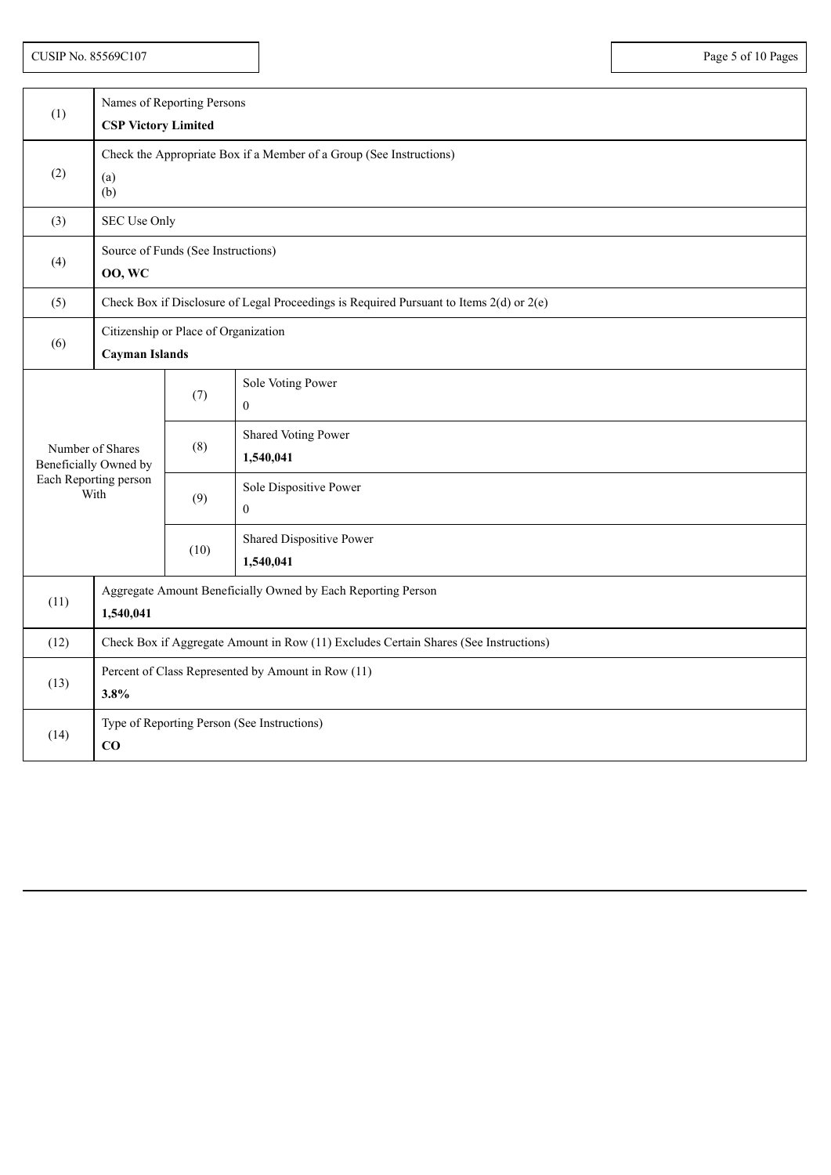|                  | Names of Reporting Persons                                                                  |      |                                       |  |
|------------------|---------------------------------------------------------------------------------------------|------|---------------------------------------|--|
| (1)              | <b>CSP Victory Limited</b>                                                                  |      |                                       |  |
| (2)              | Check the Appropriate Box if a Member of a Group (See Instructions)<br>(a)<br>(b)           |      |                                       |  |
| (3)              | SEC Use Only                                                                                |      |                                       |  |
| (4)              | Source of Funds (See Instructions)<br><b>00, WC</b>                                         |      |                                       |  |
| (5)              | Check Box if Disclosure of Legal Proceedings is Required Pursuant to Items $2(d)$ or $2(e)$ |      |                                       |  |
| (6)              | Citizenship or Place of Organization<br><b>Cayman Islands</b>                               |      |                                       |  |
|                  |                                                                                             | (7)  | Sole Voting Power<br>$\theta$         |  |
| Number of Shares | Beneficially Owned by                                                                       | (8)  | Shared Voting Power<br>1,540,041      |  |
|                  | Each Reporting person<br>With                                                               |      | Sole Dispositive Power<br>$\Omega$    |  |
|                  |                                                                                             | (10) | Shared Dispositive Power<br>1,540,041 |  |
| (11)             | Aggregate Amount Beneficially Owned by Each Reporting Person<br>1,540,041                   |      |                                       |  |
| (12)             | Check Box if Aggregate Amount in Row (11) Excludes Certain Shares (See Instructions)        |      |                                       |  |
| (13)             | Percent of Class Represented by Amount in Row (11)<br>3.8%                                  |      |                                       |  |
| (14)             | Type of Reporting Person (See Instructions)<br>CO                                           |      |                                       |  |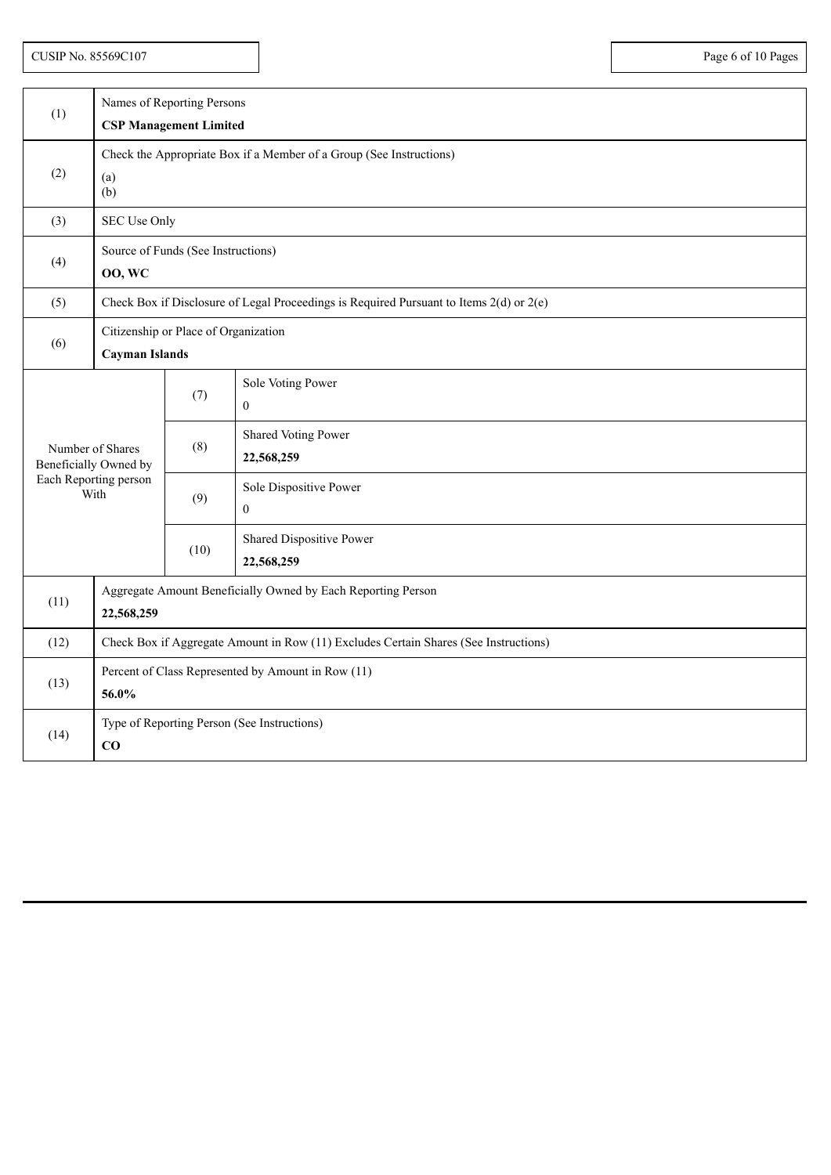CUSIP No. 85569C107 Page 6 of 10 Pages

| (1)                                       | Names of Reporting Persons<br><b>CSP Management Limited</b>                             |      |                                        |  |
|-------------------------------------------|-----------------------------------------------------------------------------------------|------|----------------------------------------|--|
|                                           |                                                                                         |      |                                        |  |
| (2)                                       | Check the Appropriate Box if a Member of a Group (See Instructions)<br>(a)<br>(b)       |      |                                        |  |
| (3)                                       | SEC Use Only                                                                            |      |                                        |  |
| (4)                                       | Source of Funds (See Instructions)<br><b>00, WC</b>                                     |      |                                        |  |
| (5)                                       | Check Box if Disclosure of Legal Proceedings is Required Pursuant to Items 2(d) or 2(e) |      |                                        |  |
| (6)                                       | Citizenship or Place of Organization<br><b>Cayman Islands</b>                           |      |                                        |  |
|                                           |                                                                                         | (7)  | Sole Voting Power<br>$\mathbf{0}$      |  |
| Number of Shares<br>Beneficially Owned by |                                                                                         | (8)  | Shared Voting Power<br>22,568,259      |  |
| Each Reporting person<br>With             |                                                                                         | (9)  | Sole Dispositive Power<br>$\theta$     |  |
|                                           |                                                                                         | (10) | Shared Dispositive Power<br>22,568,259 |  |
| (11)                                      | Aggregate Amount Beneficially Owned by Each Reporting Person<br>22,568,259              |      |                                        |  |
| (12)                                      | Check Box if Aggregate Amount in Row (11) Excludes Certain Shares (See Instructions)    |      |                                        |  |
| (13)                                      | Percent of Class Represented by Amount in Row (11)<br>56.0%                             |      |                                        |  |
| (14)                                      | Type of Reporting Person (See Instructions)<br>$\bf CO$                                 |      |                                        |  |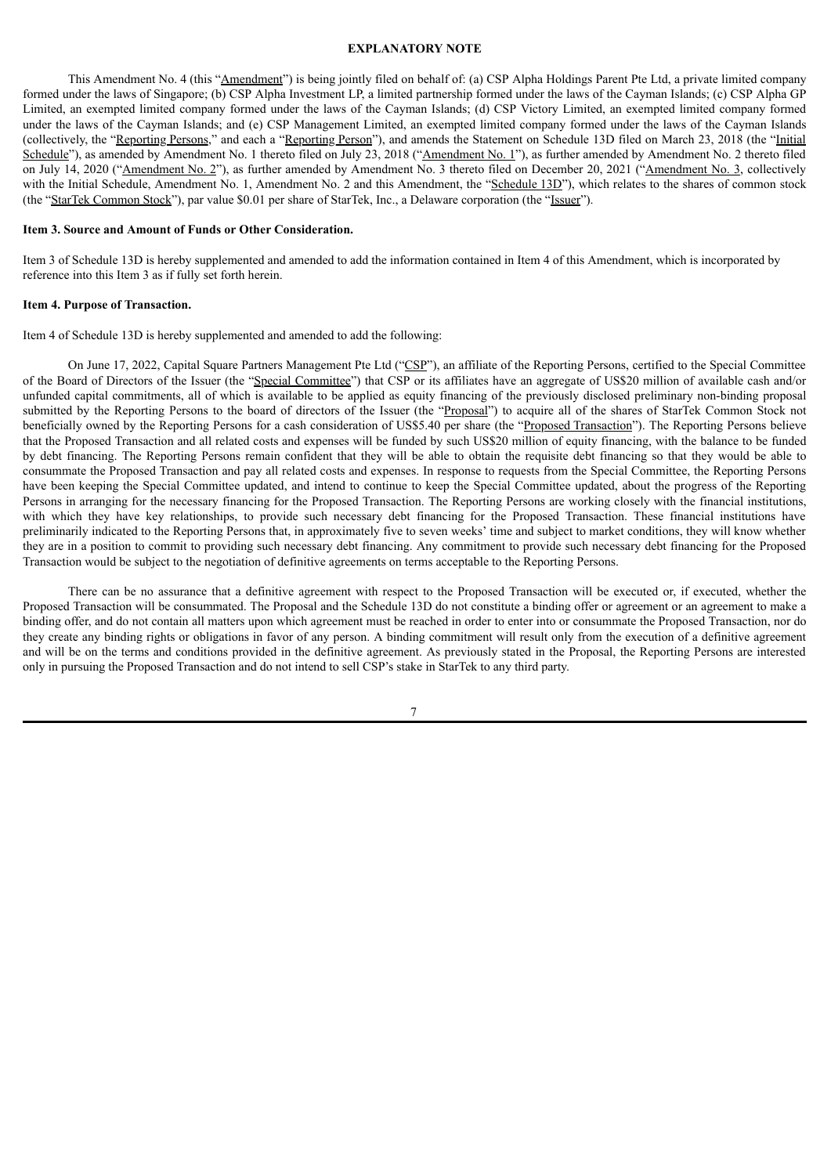#### **EXPLANATORY NOTE**

This Amendment No. 4 (this "Amendment") is being jointly filed on behalf of: (a) CSP Alpha Holdings Parent Pte Ltd, a private limited company formed under the laws of Singapore; (b) CSP Alpha Investment LP, a limited partnership formed under the laws of the Cayman Islands; (c) CSP Alpha GP Limited, an exempted limited company formed under the laws of the Cayman Islands; (d) CSP Victory Limited, an exempted limited company formed under the laws of the Cayman Islands; and (e) CSP Management Limited, an exempted limited company formed under the laws of the Cayman Islands (collectively, the "Reporting Persons," and each a "Reporting Person"), and amends the Statement on Schedule 13D filed on March 23, 2018 (the "Initial Schedule"), as amended by Amendment No. 1 thereto filed on July 23, 2018 ("Amendment No. 1"), as further amended by Amendment No. 2 thereto filed on July 14, 2020 ("Amendment No. 2"), as further amended by Amendment No. 3 thereto filed on December 20, 2021 ("Amendment No. 3, collectively with the Initial Schedule, Amendment No. 1, Amendment No. 2 and this Amendment, the "Schedule 13D"), which relates to the shares of common stock (the "StarTek Common Stock"), par value \$0.01 per share of StarTek, Inc., a Delaware corporation (the "Issuer").

#### **Item 3. Source and Amount of Funds or Other Consideration.**

Item 3 of Schedule 13D is hereby supplemented and amended to add the information contained in Item 4 of this Amendment, which is incorporated by reference into this Item 3 as if fully set forth herein.

### **Item 4. Purpose of Transaction.**

Item 4 of Schedule 13D is hereby supplemented and amended to add the following:

On June 17, 2022, Capital Square Partners Management Pte Ltd ("CSP"), an affiliate of the Reporting Persons, certified to the Special Committee of the Board of Directors of the Issuer (the "Special Committee") that CSP or its affiliates have an aggregate of US\$20 million of available cash and/or unfunded capital commitments, all of which is available to be applied as equity financing of the previously disclosed preliminary non-binding proposal submitted by the Reporting Persons to the board of directors of the Issuer (the "Proposal") to acquire all of the shares of StarTek Common Stock not beneficially owned by the Reporting Persons for a cash consideration of US\$5.40 per share (the "Proposed Transaction"). The Reporting Persons believe that the Proposed Transaction and all related costs and expenses will be funded by such US\$20 million of equity financing, with the balance to be funded by debt financing. The Reporting Persons remain confident that they will be able to obtain the requisite debt financing so that they would be able to consummate the Proposed Transaction and pay all related costs and expenses. In response to requests from the Special Committee, the Reporting Persons have been keeping the Special Committee updated, and intend to continue to keep the Special Committee updated, about the progress of the Reporting Persons in arranging for the necessary financing for the Proposed Transaction. The Reporting Persons are working closely with the financial institutions, with which they have key relationships, to provide such necessary debt financing for the Proposed Transaction. These financial institutions have preliminarily indicated to the Reporting Persons that, in approximately five to seven weeks' time and subject to market conditions, they will know whether they are in a position to commit to providing such necessary debt financing. Any commitment to provide such necessary debt financing for the Proposed Transaction would be subject to the negotiation of definitive agreements on terms acceptable to the Reporting Persons.

There can be no assurance that a definitive agreement with respect to the Proposed Transaction will be executed or, if executed, whether the Proposed Transaction will be consummated. The Proposal and the Schedule 13D do not constitute a binding offer or agreement or an agreement to make a binding offer, and do not contain all matters upon which agreement must be reached in order to enter into or consummate the Proposed Transaction, nor do they create any binding rights or obligations in favor of any person. A binding commitment will result only from the execution of a definitive agreement and will be on the terms and conditions provided in the definitive agreement. As previously stated in the Proposal, the Reporting Persons are interested only in pursuing the Proposed Transaction and do not intend to sell CSP's stake in StarTek to any third party.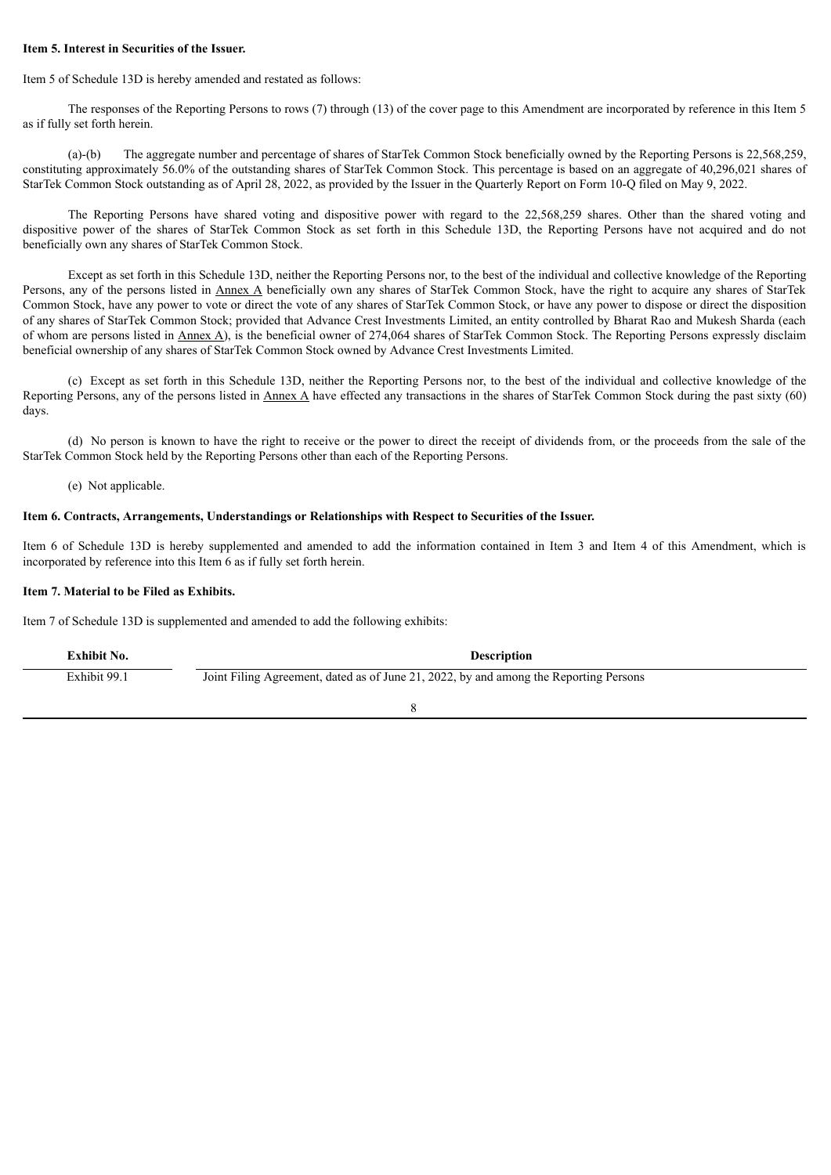### **Item 5. Interest in Securities of the Issuer.**

Item 5 of Schedule 13D is hereby amended and restated as follows:

The responses of the Reporting Persons to rows (7) through (13) of the cover page to this Amendment are incorporated by reference in this Item 5 as if fully set forth herein.

(a)-(b) The aggregate number and percentage of shares of StarTek Common Stock beneficially owned by the Reporting Persons is 22,568,259, constituting approximately 56.0% of the outstanding shares of StarTek Common Stock. This percentage is based on an aggregate of 40,296,021 shares of StarTek Common Stock outstanding as of April 28, 2022, as provided by the Issuer in the Quarterly Report on Form 10-Q filed on May 9, 2022.

The Reporting Persons have shared voting and dispositive power with regard to the 22,568,259 shares. Other than the shared voting and dispositive power of the shares of StarTek Common Stock as set forth in this Schedule 13D, the Reporting Persons have not acquired and do not beneficially own any shares of StarTek Common Stock.

Except as set forth in this Schedule 13D, neither the Reporting Persons nor, to the best of the individual and collective knowledge of the Reporting Persons, any of the persons listed in Annex A beneficially own any shares of StarTek Common Stock, have the right to acquire any shares of StarTek Common Stock, have any power to vote or direct the vote of any shares of StarTek Common Stock, or have any power to dispose or direct the disposition of any shares of StarTek Common Stock; provided that Advance Crest Investments Limited, an entity controlled by Bharat Rao and Mukesh Sharda (each of whom are persons listed in Annex A), is the beneficial owner of 274,064 shares of StarTek Common Stock. The Reporting Persons expressly disclaim beneficial ownership of any shares of StarTek Common Stock owned by Advance Crest Investments Limited.

(c) Except as set forth in this Schedule 13D, neither the Reporting Persons nor, to the best of the individual and collective knowledge of the Reporting Persons, any of the persons listed in Annex A have effected any transactions in the shares of StarTek Common Stock during the past sixty (60) days.

(d) No person is known to have the right to receive or the power to direct the receipt of dividends from, or the proceeds from the sale of the StarTek Common Stock held by the Reporting Persons other than each of the Reporting Persons.

(e) Not applicable.

### **Item 6. Contracts, Arrangements, Understandings or Relationships with Respect to Securities of the Issuer.**

Item 6 of Schedule 13D is hereby supplemented and amended to add the information contained in Item 3 and Item 4 of this Amendment, which is incorporated by reference into this Item 6 as if fully set forth herein.

## **Item 7. Material to be Filed as Exhibits.**

Item 7 of Schedule 13D is supplemented and amended to add the following exhibits:

| Exhibit No.  | <b>Description</b>                                                                    |
|--------------|---------------------------------------------------------------------------------------|
| Exhibit 99.1 | Joint Filing Agreement, dated as of June 21, 2022, by and among the Reporting Persons |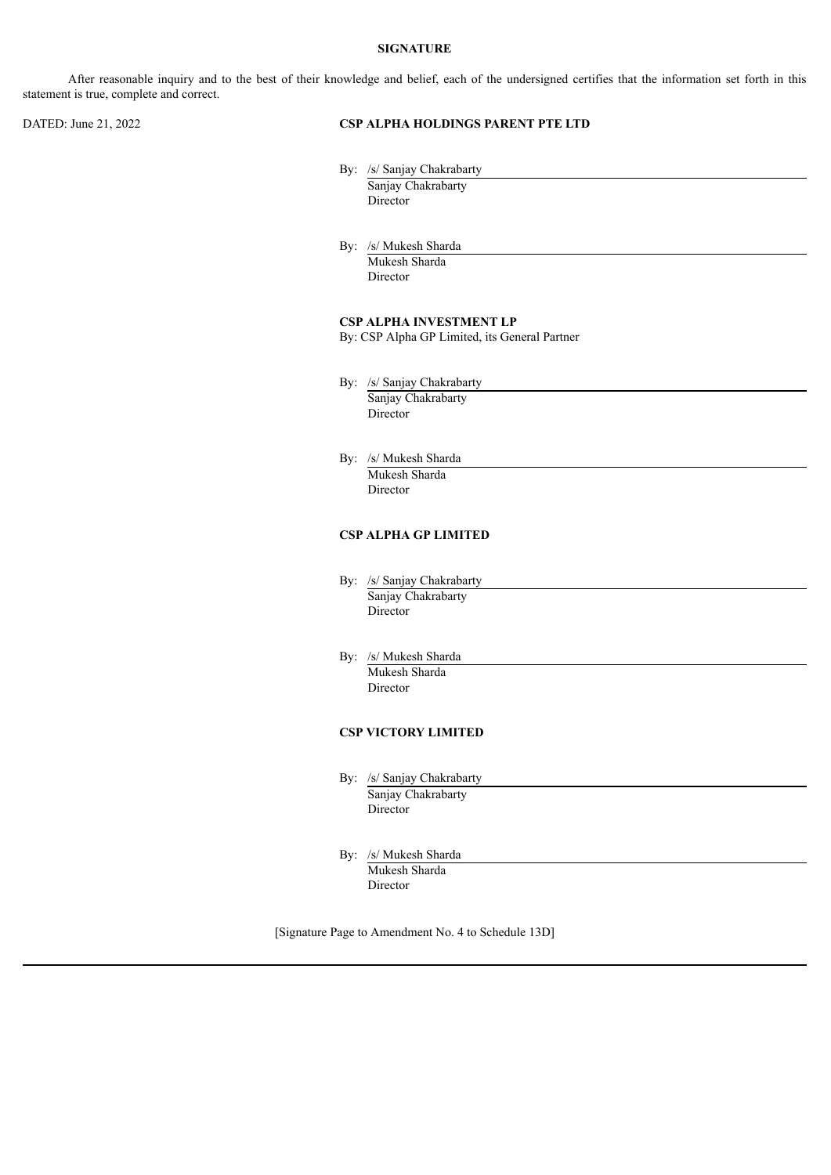## **SIGNATURE**

After reasonable inquiry and to the best of their knowledge and belief, each of the undersigned certifies that the information set forth in this statement is true, complete and correct.

### DATED: June 21, 2022 **CSP ALPHA HOLDINGS PARENT PTE LTD**

By: /s/ Sanjay Chakrabarty Sanjay Chakrabarty

Director

By: /s/ Mukesh Sharda Mukesh Sharda Director

## **CSP ALPHA INVESTMENT LP**

By: CSP Alpha GP Limited, its General Partner

- By: /s/ Sanjay Chakrabarty Sanjay Chakrabarty Director
- By: /s/ Mukesh Sharda Mukesh Sharda Director

## **CSP ALPHA GP LIMITED**

- By: /s/ Sanjay Chakrabarty Sanjay Chakrabarty Director
- By: /s/ Mukesh Sharda Mukesh Sharda Director

## **CSP VICTORY LIMITED**

- By: /s/ Sanjay Chakrabarty Sanjay Chakrabarty **Director**
- By: /s/ Mukesh Sharda Mukesh Sharda Director

[Signature Page to Amendment No. 4 to Schedule 13D]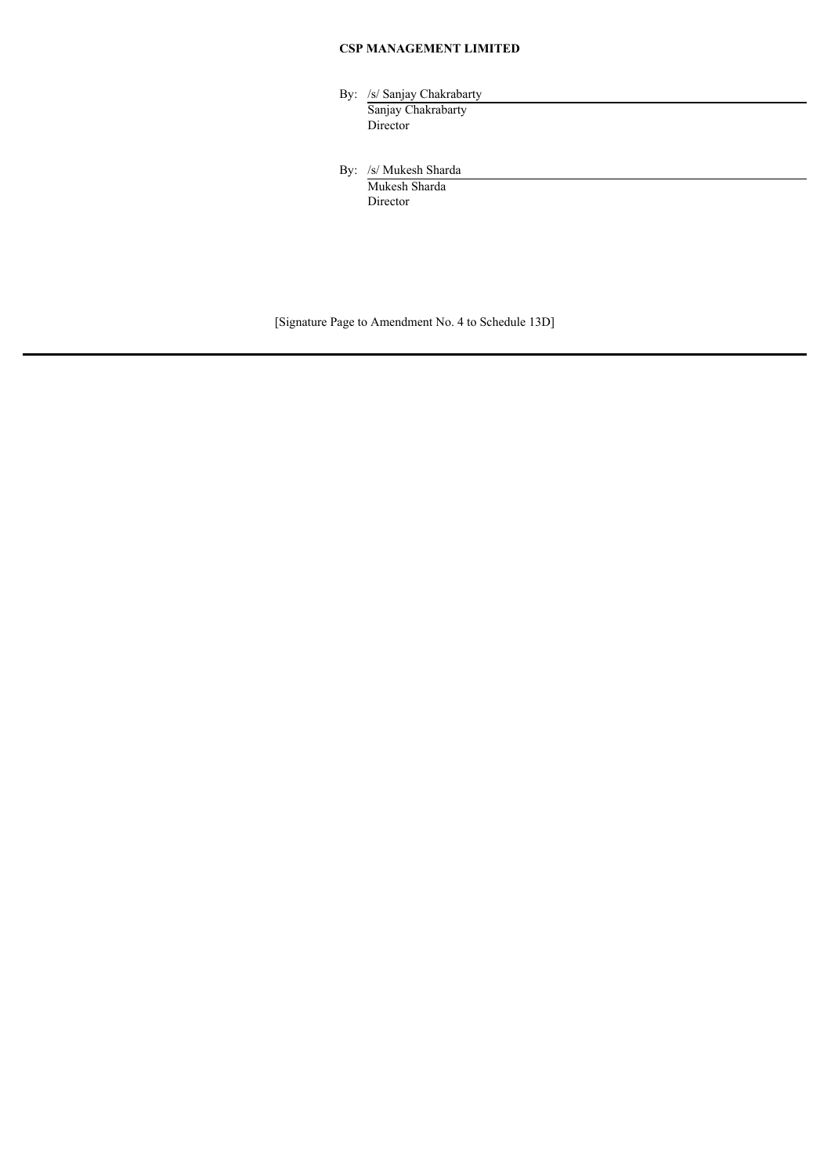# **CSP MANAGEMENT LIMITED**

| By: /s/ Sanjay Chakrabarty |
|----------------------------|
| Sanjay Chakrabarty         |
| Director                   |
|                            |

By: /s/ Mukesh Sharda Mukesh Sharda Director

[Signature Page to Amendment No. 4 to Schedule 13D]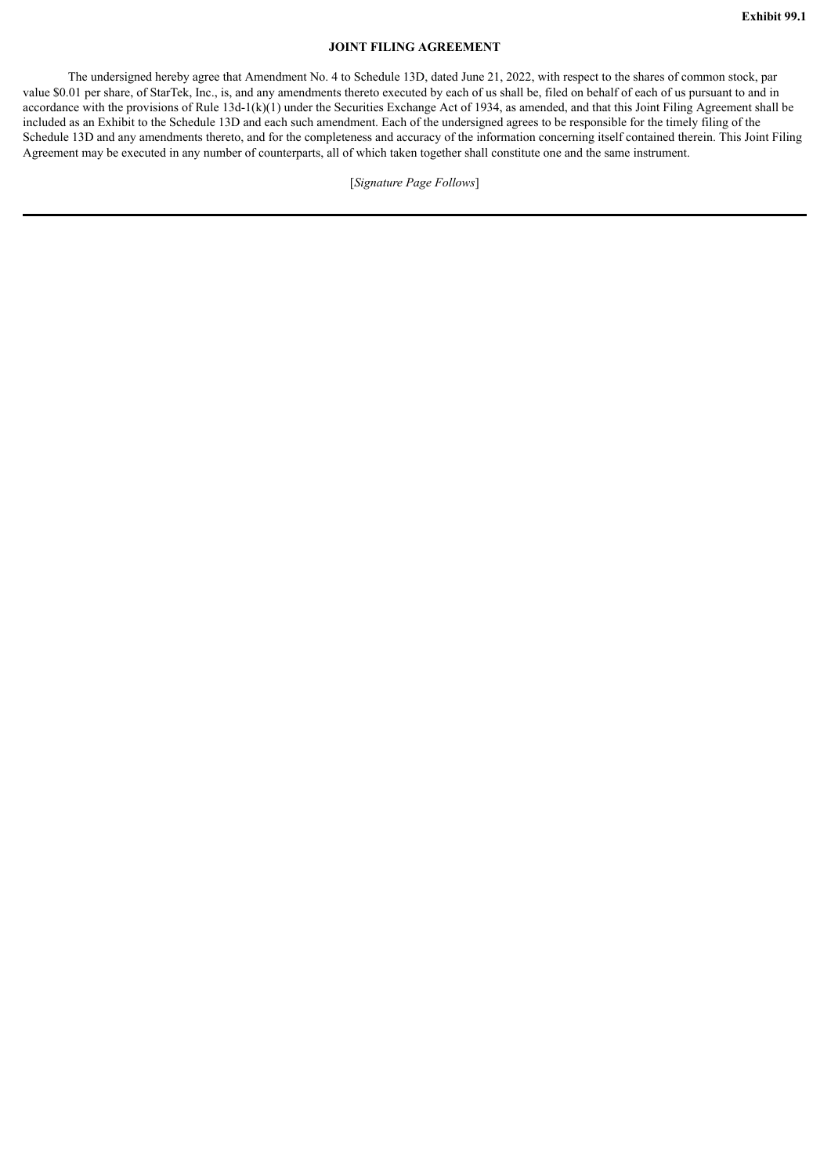## **JOINT FILING AGREEMENT**

The undersigned hereby agree that Amendment No. 4 to Schedule 13D, dated June 21, 2022, with respect to the shares of common stock, par value \$0.01 per share, of StarTek, Inc., is, and any amendments thereto executed by each of us shall be, filed on behalf of each of us pursuant to and in accordance with the provisions of Rule  $13d-1(k)(1)$  under the Securities Exchange Act of 1934, as amended, and that this Joint Filing Agreement shall be included as an Exhibit to the Schedule 13D and each such amendment. Each of the undersigned agrees to be responsible for the timely filing of the Schedule 13D and any amendments thereto, and for the completeness and accuracy of the information concerning itself contained therein. This Joint Filing Agreement may be executed in any number of counterparts, all of which taken together shall constitute one and the same instrument.

[*Signature Page Follows*]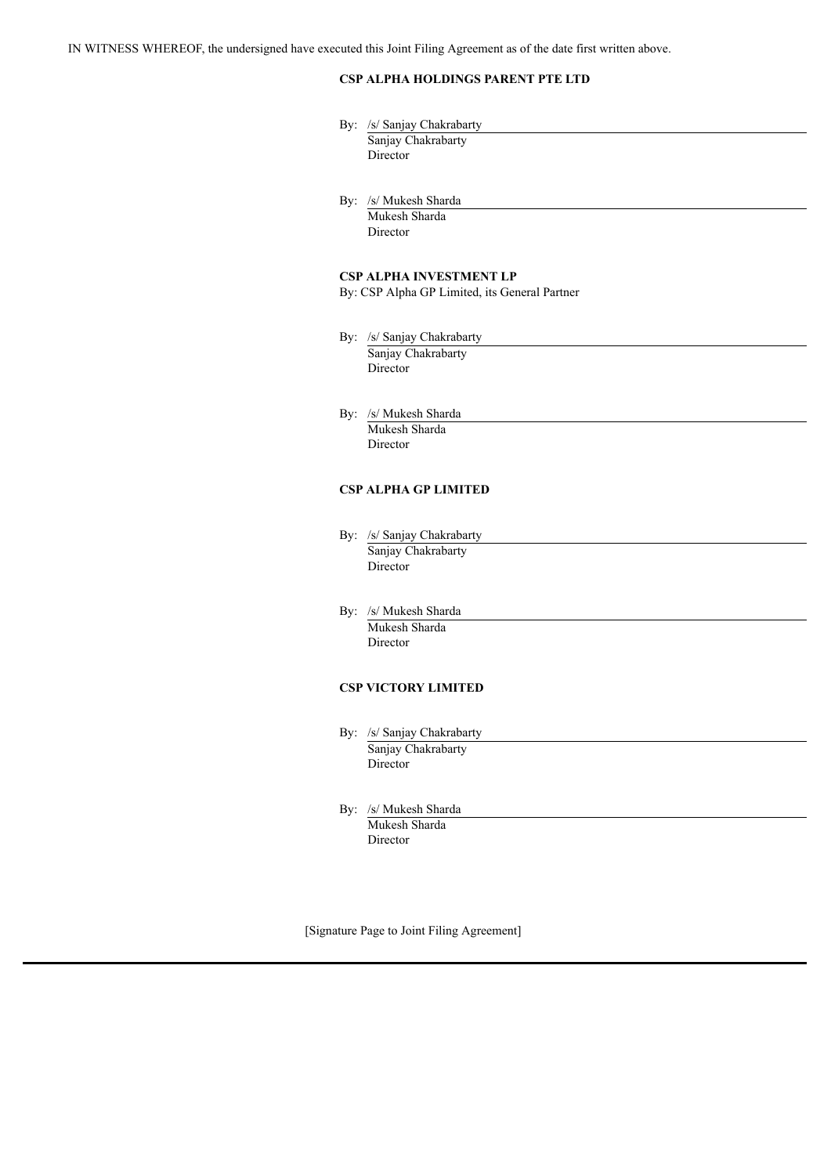IN WITNESS WHEREOF, the undersigned have executed this Joint Filing Agreement as of the date first written above.

# **CSP ALPHA HOLDINGS PARENT PTE LTD**

| By: /s/ Sanjay Chakrabarty                       |
|--------------------------------------------------|
| Sanjay Chakrabarty                               |
| Director                                         |
|                                                  |
| By: /s/ Mukesh Sharda                            |
| Mukesh Sharda                                    |
| Director                                         |
| <b>CSP ALPHA INVESTMENT LP</b>                   |
| By: CSP Alpha GP Limited, its General Partner    |
|                                                  |
| By: /s/ Sanjay Chakrabarty<br>Sanjay Chakrabarty |
|                                                  |
| Director                                         |
| By: /s/ Mukesh Sharda                            |
| Mukesh Sharda                                    |
| Director                                         |
|                                                  |
| <b>CSP ALPHA GP LIMITED</b>                      |
|                                                  |
| By: /s/ Sanjay Chakrabarty                       |
| Sanjay Chakrabarty<br>Director                   |
|                                                  |
| By: /s/ Mukesh Sharda                            |
| Mukesh Sharda                                    |
| Director                                         |
| <b>CSP VICTORY LIMITED</b>                       |
|                                                  |
| By: /s/ Sanjay Chakrabarty                       |
| Sanjay Chakrabarty                               |
| Director                                         |
| By: /s/ Mukesh Sharda                            |

Mukesh Sharda Director

[Signature Page to Joint Filing Agreement]